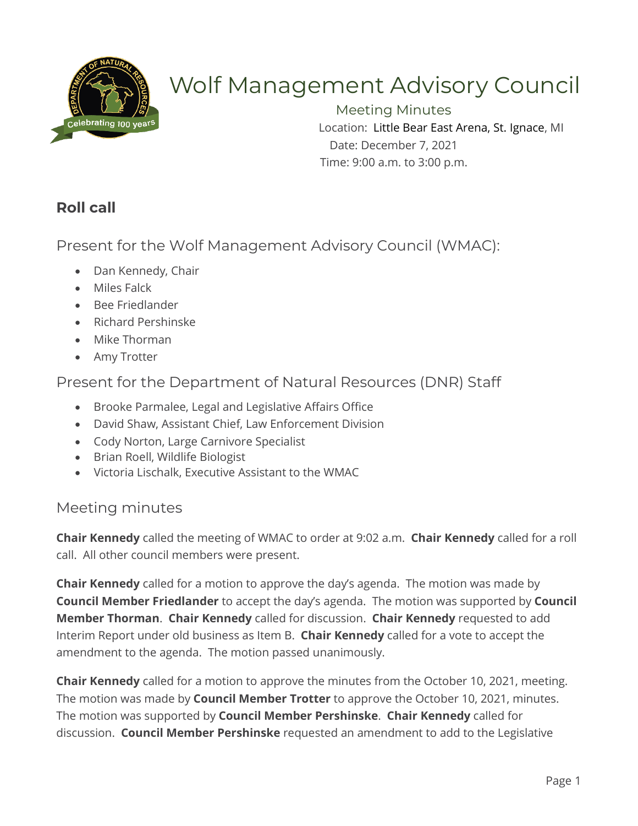

# Wolf Management Advisory Council

Meeting Minutes Location: Little Bear East Arena, St. Ignace, MI Date: December 7, 2021 Time: 9:00 a.m. to 3:00 p.m.

# **Roll call**

Present for the Wolf Management Advisory Council (WMAC):

- Dan Kennedy, Chair
- Miles Falck
- Bee Friedlander
- Richard Pershinske
- Mike Thorman
- Amy Trotter

Present for the Department of Natural Resources (DNR) Staff

- Brooke Parmalee, Legal and Legislative Affairs Office
- David Shaw, Assistant Chief, Law Enforcement Division
- Cody Norton, Large Carnivore Specialist
- Brian Roell, Wildlife Biologist
- Victoria Lischalk, Executive Assistant to the WMAC

## Meeting minutes

**Chair Kennedy** called the meeting of WMAC to order at 9:02 a.m. **Chair Kennedy** called for a roll call. All other council members were present.

**Chair Kennedy** called for a motion to approve the day's agenda. The motion was made by **Council Member Friedlander** to accept the day's agenda. The motion was supported by **Council Member Thorman**. **Chair Kennedy** called for discussion. **Chair Kennedy** requested to add Interim Report under old business as Item B. **Chair Kennedy** called for a vote to accept the amendment to the agenda. The motion passed unanimously.

**Chair Kennedy** called for a motion to approve the minutes from the October 10, 2021, meeting. The motion was made by **Council Member Trotter** to approve the October 10, 2021, minutes. The motion was supported by **Council Member Pershinske**. **Chair Kennedy** called for discussion. **Council Member Pershinske** requested an amendment to add to the Legislative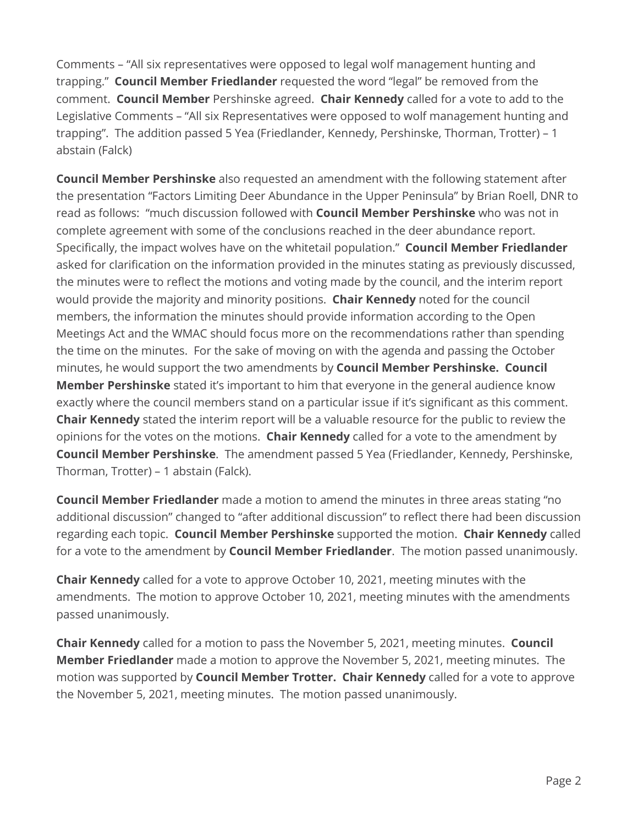Comments – "All six representatives were opposed to legal wolf management hunting and trapping." **Council Member Friedlander** requested the word "legal" be removed from the comment. **Council Member** Pershinske agreed. **Chair Kennedy** called for a vote to add to the Legislative Comments – "All six Representatives were opposed to wolf management hunting and trapping". The addition passed 5 Yea (Friedlander, Kennedy, Pershinske, Thorman, Trotter) – 1 abstain (Falck)

**Council Member Pershinske** also requested an amendment with the following statement after the presentation "Factors Limiting Deer Abundance in the Upper Peninsula" by Brian Roell, DNR to read as follows: "much discussion followed with **Council Member Pershinske** who was not in complete agreement with some of the conclusions reached in the deer abundance report. Specifically, the impact wolves have on the whitetail population." **Council Member Friedlander** asked for clarification on the information provided in the minutes stating as previously discussed, the minutes were to reflect the motions and voting made by the council, and the interim report would provide the majority and minority positions. **Chair Kennedy** noted for the council members, the information the minutes should provide information according to the Open Meetings Act and the WMAC should focus more on the recommendations rather than spending the time on the minutes. For the sake of moving on with the agenda and passing the October minutes, he would support the two amendments by **Council Member Pershinske. Council Member Pershinske** stated it's important to him that everyone in the general audience know exactly where the council members stand on a particular issue if it's significant as this comment. **Chair Kennedy** stated the interim report will be a valuable resource for the public to review the opinions for the votes on the motions. **Chair Kennedy** called for a vote to the amendment by **Council Member Pershinske**. The amendment passed 5 Yea (Friedlander, Kennedy, Pershinske, Thorman, Trotter) – 1 abstain (Falck).

**Council Member Friedlander** made a motion to amend the minutes in three areas stating "no additional discussion" changed to "after additional discussion" to reflect there had been discussion regarding each topic. **Council Member Pershinske** supported the motion. **Chair Kennedy** called for a vote to the amendment by **Council Member Friedlander**. The motion passed unanimously.

**Chair Kennedy** called for a vote to approve October 10, 2021, meeting minutes with the amendments. The motion to approve October 10, 2021, meeting minutes with the amendments passed unanimously.

**Chair Kennedy** called for a motion to pass the November 5, 2021, meeting minutes. **Council Member Friedlander** made a motion to approve the November 5, 2021, meeting minutes. The motion was supported by **Council Member Trotter. Chair Kennedy** called for a vote to approve the November 5, 2021, meeting minutes. The motion passed unanimously.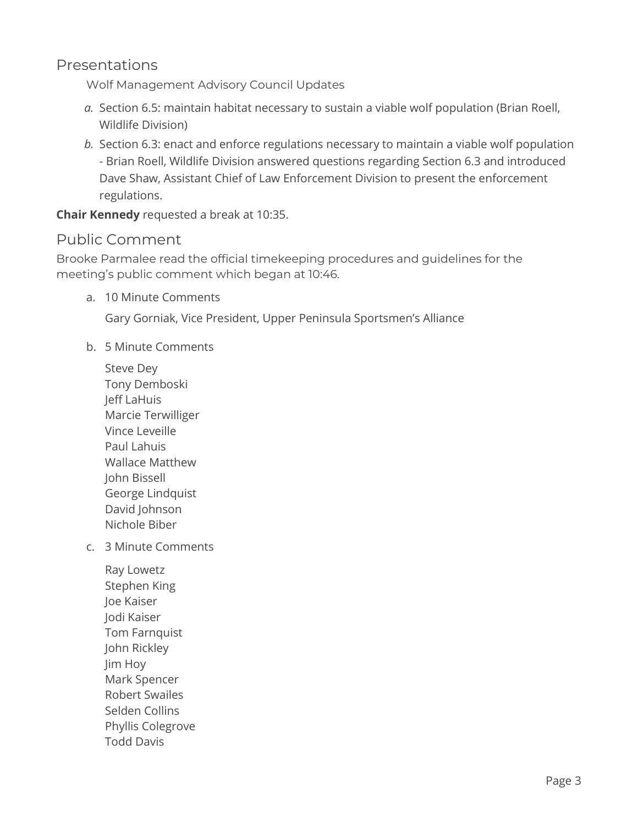### Presentations

Wolf Management Advisory Council Updates

- *a.* Section 6.5: maintain habitat necessary to sustain a viable wolf population (Brian Roell, Wildlife Division)
- *b.* Section 6.3: enact and enforce regulations necessary to maintain a viable wolf population - Brian Roell, Wildlife Division answered questions regarding Section 6.3 and introduced Dave Shaw, Assistant Chief of Law Enforcement Division to present the enforcement regulations.

**Chair Kennedy** requested a break at 10:35.

### Public Comment

Brooke Parmalee read the official timekeeping procedures and guidelines for the meeting's public comment which began at 10:46.

a. 10 Minute Comments

Gary Gorniak, Vice President, Upper Peninsula Sportsmen's Alliance

- b. 5 Minute Comments
	- Steve Dey Tony Demboski Jeff LaHuis Marcie Terwilliger Vince Leveille Paul Lahuis Wallace Matthew John Bissell George Lindquist David Johnson Nichole Biber
- c. 3 Minute Comments
	- Ray Lowetz Stephen King Joe Kaiser Jodi Kaiser Tom Farnquist John Rickley Jim Hoy Mark Spencer Robert Swailes Selden Collins Phyllis Colegrove Todd Davis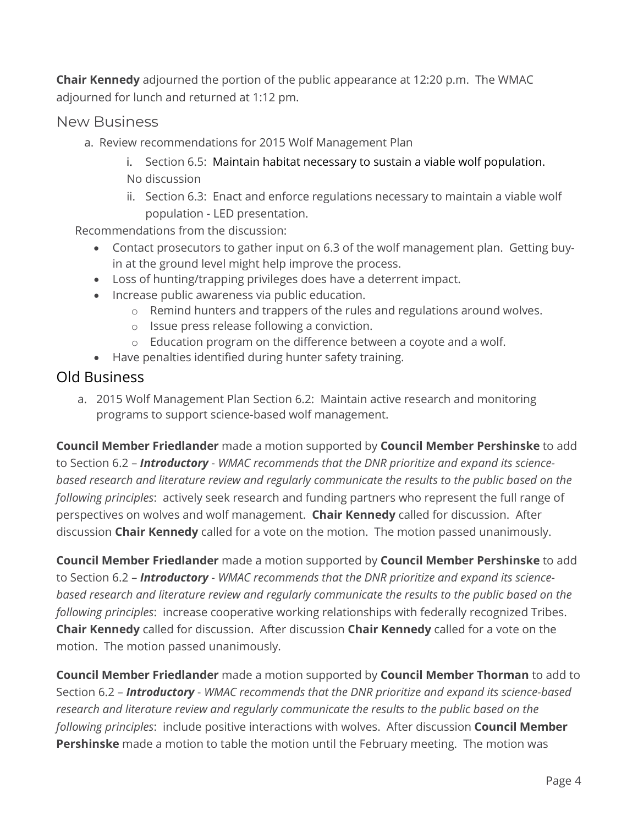**Chair Kennedy** adjourned the portion of the public appearance at 12:20 p.m. The WMAC adjourned for lunch and returned at 1:12 pm.

#### New Business

- a. Review recommendations for 2015 Wolf Management Plan
	- i. Section 6.5: Maintain habitat necessary to sustain a viable wolf population. No discussion
	- ii. Section 6.3: Enact and enforce regulations necessary to maintain a viable wolf population - LED presentation.

Recommendations from the discussion:

- Contact prosecutors to gather input on 6.3 of the wolf management plan. Getting buyin at the ground level might help improve the process.
- Loss of hunting/trapping privileges does have a deterrent impact.
- Increase public awareness via public education.
	- o Remind hunters and trappers of the rules and regulations around wolves.
	- o Issue press release following a conviction.
	- o Education program on the difference between a coyote and a wolf.
- Have penalties identified during hunter safety training.

#### Old Business

a. 2015 Wolf Management Plan Section 6.2: Maintain active research and monitoring programs to support science-based wolf management.

**Council Member Friedlander** made a motion supported by **Council Member Pershinske** to add to Section 6.2 – *Introductory* - *WMAC recommends that the DNR prioritize and expand its sciencebased research and literature review and regularly communicate the results to the public based on the following principles*: actively seek research and funding partners who represent the full range of perspectives on wolves and wolf management. **Chair Kennedy** called for discussion. After discussion **Chair Kennedy** called for a vote on the motion. The motion passed unanimously.

**Council Member Friedlander** made a motion supported by **Council Member Pershinske** to add to Section 6.2 – *Introductory* - *WMAC recommends that the DNR prioritize and expand its sciencebased research and literature review and regularly communicate the results to the public based on the following principles*: increase cooperative working relationships with federally recognized Tribes. **Chair Kennedy** called for discussion. After discussion **Chair Kennedy** called for a vote on the motion. The motion passed unanimously.

**Council Member Friedlander** made a motion supported by **Council Member Thorman** to add to Section 6.2 – *Introductory* - *WMAC recommends that the DNR prioritize and expand its science-based research and literature review and regularly communicate the results to the public based on the following principles*: include positive interactions with wolves. After discussion **Council Member Pershinske** made a motion to table the motion until the February meeting. The motion was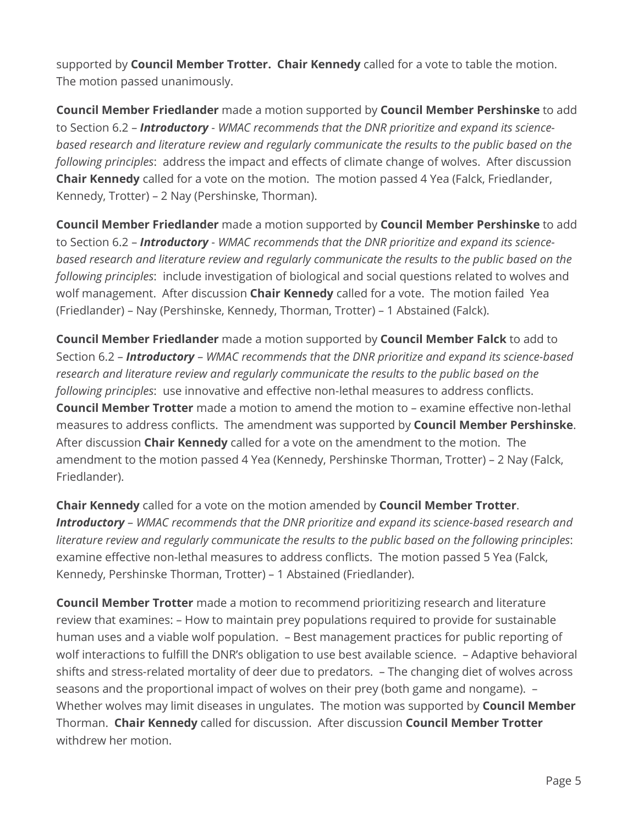supported by **Council Member Trotter. Chair Kennedy** called for a vote to table the motion. The motion passed unanimously.

**Council Member Friedlander** made a motion supported by **Council Member Pershinske** to add to Section 6.2 – *Introductory* - *WMAC recommends that the DNR prioritize and expand its sciencebased research and literature review and regularly communicate the results to the public based on the following principles*: address the impact and effects of climate change of wolves. After discussion **Chair Kennedy** called for a vote on the motion. The motion passed 4 Yea (Falck, Friedlander, Kennedy, Trotter) – 2 Nay (Pershinske, Thorman).

**Council Member Friedlander** made a motion supported by **Council Member Pershinske** to add to Section 6.2 – *Introductory* - *WMAC recommends that the DNR prioritize and expand its sciencebased research and literature review and regularly communicate the results to the public based on the following principles*: include investigation of biological and social questions related to wolves and wolf management. After discussion **Chair Kennedy** called for a vote. The motion failed Yea (Friedlander) – Nay (Pershinske, Kennedy, Thorman, Trotter) – 1 Abstained (Falck).

**Council Member Friedlander** made a motion supported by **Council Member Falck** to add to Section 6.2 – *Introductory* – *WMAC recommends that the DNR prioritize and expand its science-based research and literature review and regularly communicate the results to the public based on the following principles*: use innovative and effective non-lethal measures to address conflicts. **Council Member Trotter** made a motion to amend the motion to – examine effective non-lethal measures to address conflicts. The amendment was supported by **Council Member Pershinske**. After discussion **Chair Kennedy** called for a vote on the amendment to the motion. The amendment to the motion passed 4 Yea (Kennedy, Pershinske Thorman, Trotter) – 2 Nay (Falck, Friedlander).

**Chair Kennedy** called for a vote on the motion amended by **Council Member Trotter**. *Introductory* – *WMAC recommends that the DNR prioritize and expand its science-based research and literature review and regularly communicate the results to the public based on the following principles*: examine effective non-lethal measures to address conflicts. The motion passed 5 Yea (Falck, Kennedy, Pershinske Thorman, Trotter) – 1 Abstained (Friedlander).

**Council Member Trotter** made a motion to recommend prioritizing research and literature review that examines: – How to maintain prey populations required to provide for sustainable human uses and a viable wolf population. – Best management practices for public reporting of wolf interactions to fulfill the DNR's obligation to use best available science. – Adaptive behavioral shifts and stress-related mortality of deer due to predators. – The changing diet of wolves across seasons and the proportional impact of wolves on their prey (both game and nongame). – Whether wolves may limit diseases in ungulates. The motion was supported by **Council Member**  Thorman. **Chair Kennedy** called for discussion. After discussion **Council Member Trotter** withdrew her motion.